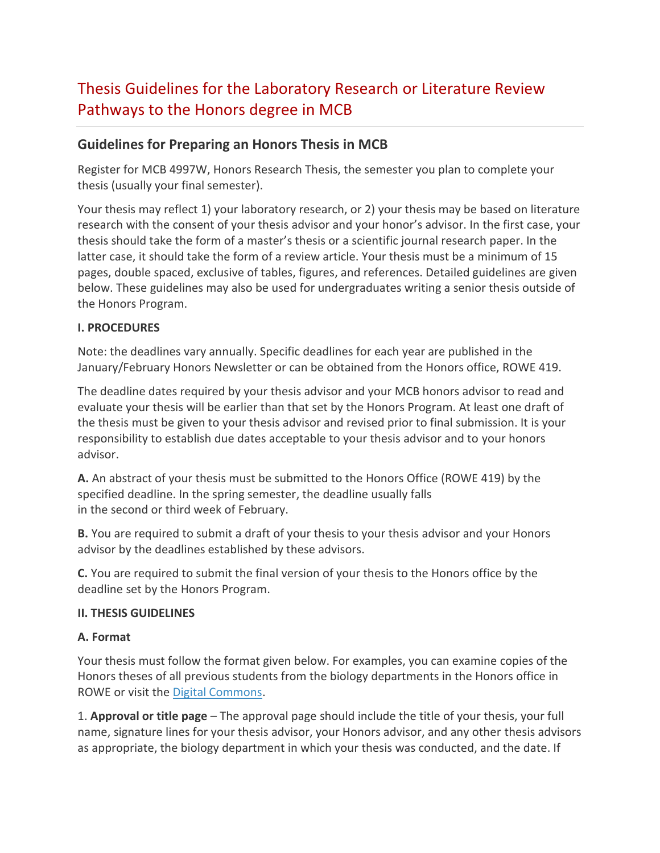# Thesis Guidelines for the Laboratory Research or Literature Review Pathways to the Honors degree in MCB

## **Guidelines for Preparing an Honors Thesis in MCB**

Register for MCB 4997W, Honors Research Thesis, the semester you plan to complete your thesis (usually your final semester).

Your thesis may reflect 1) your laboratory research, or 2) your thesis may be based on literature research with the consent of your thesis advisor and your honor's advisor. In the first case, your thesis should take the form of a master's thesis or a scientific journal research paper. In the latter case, it should take the form of a review article. Your thesis must be a minimum of 15 pages, double spaced, exclusive of tables, figures, and references. Detailed guidelines are given below. These guidelines may also be used for undergraduates writing a senior thesis outside of the Honors Program.

#### **I. PROCEDURES**

Note: the deadlines vary annually. Specific deadlines for each year are published in the January/February Honors Newsletter or can be obtained from the Honors office, ROWE 419.

The deadline dates required by your thesis advisor and your MCB honors advisor to read and evaluate your thesis will be earlier than that set by the Honors Program. At least one draft of the thesis must be given to your thesis advisor and revised prior to final submission. It is your responsibility to establish due dates acceptable to your thesis advisor and to your honors advisor.

**A.** An abstract of your thesis must be submitted to the Honors Office (ROWE 419) by the specified deadline. In the spring semester, the deadline usually falls in the second or third week of February.

**B.** You are required to submit a draft of your thesis to your thesis advisor and your Honors advisor by the deadlines established by these advisors.

**C.** You are required to submit the final version of your thesis to the Honors office by the deadline set by the Honors Program.

#### **II. THESIS GUIDELINES**

#### **A. Format**

Your thesis must follow the format given below. For examples, you can examine copies of the Honors theses of all previous students from the biology departments in the Honors office in ROWE or visit the [Digital Commons.](http://digitalcommons.uconn.edu/srhonors_theses/)

1. **Approval or title page** – The approval page should include the title of your thesis, your full name, signature lines for your thesis advisor, your Honors advisor, and any other thesis advisors as appropriate, the biology department in which your thesis was conducted, and the date. If